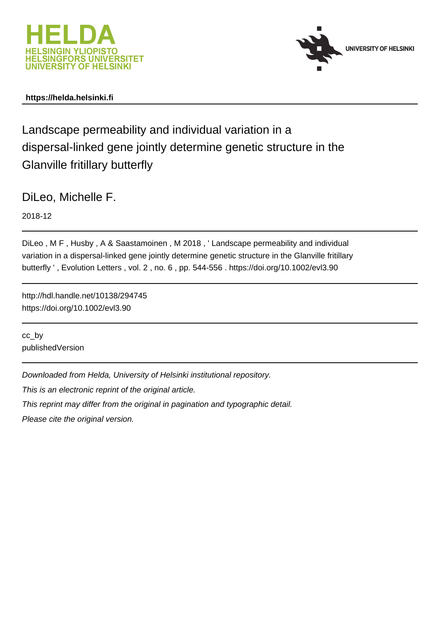



## **https://helda.helsinki.fi**

Landscape permeability and individual variation in a dispersal-linked gene jointly determine genetic structure in the Glanville fritillary butterfly

DiLeo, Michelle F.

2018-12

DiLeo , M F , Husby , A & Saastamoinen , M 2018 , ' Landscape permeability and individual variation in a dispersal-linked gene jointly determine genetic structure in the Glanville fritillary butterfly ' , Evolution Letters , vol. 2 , no. 6 , pp. 544-556 . https://doi.org/10.1002/evl3.90

http://hdl.handle.net/10138/294745 https://doi.org/10.1002/evl3.90

cc\_by publishedVersion

Downloaded from Helda, University of Helsinki institutional repository.

This is an electronic reprint of the original article.

This reprint may differ from the original in pagination and typographic detail.

Please cite the original version.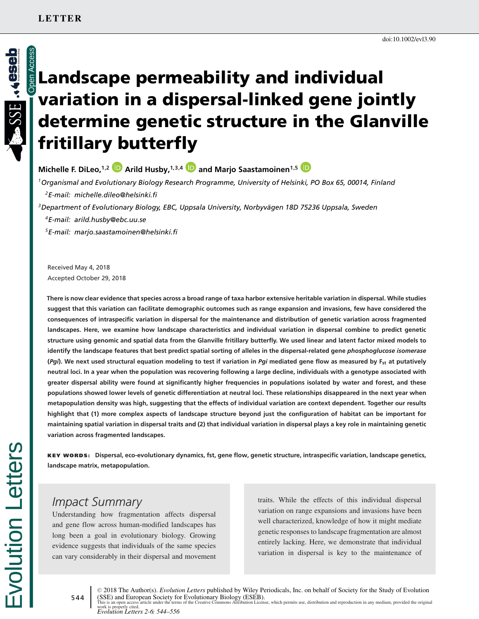# **Landscape permeability and individual**

## **variation in a dispersal-linked gene jointly determine genetic structure in the Glanville fritillary butterfly**

**Michelle F. DiLeo,**<sup>1,2</sup> **ID** Arild Husby,<sup>1,3,4</sup> **ID** and Marjo Saastamoinen<sup>1,5</sup> **ID** 

*1Organismal and Evolutionary Biology Research Programme, University of Helsinki, PO Box 65, 00014, Finland 2E-mail: michelle.dileo@helsinki.fi*

*3Department of Evolutionary Biology, EBC, Uppsala University, Norbyvagen 18D 75236 Uppsala, Sweden ¨ 4E-mail: arild.husby@ebc.uu.se 5E-mail: marjo.saastamoinen@helsinki.fi*

Received May 4, 2018 Accepted October 29, 2018

**There is now clear evidence that species across a broad range of taxa harbor extensive heritable variation in dispersal. While studies suggest that this variation can facilitate demographic outcomes such as range expansion and invasions, few have considered the consequences of intraspecific variation in dispersal for the maintenance and distribution of genetic variation across fragmented landscapes. Here, we examine how landscape characteristics and individual variation in dispersal combine to predict genetic structure using genomic and spatial data from the Glanville fritillary butterfly. We used linear and latent factor mixed models to identify the landscape features that best predict spatial sorting of alleles in the dispersal-related gene** *phosphoglucose isomerase* **(***Pgi***). We next used structural equation modeling to test if variation in** *Pgi* **mediated gene flow as measured by Fst at putatively neutral loci. In a year when the population was recovering following a large decline, individuals with a genotype associated with greater dispersal ability were found at significantly higher frequencies in populations isolated by water and forest, and these populations showed lower levels of genetic differentiation at neutral loci. These relationships disappeared in the next year when metapopulation density was high, suggesting that the effects of individual variation are context dependent. Together our results highlight that (1) more complex aspects of landscape structure beyond just the configuration of habitat can be important for maintaining spatial variation in dispersal traits and (2) that individual variation in dispersal plays a key role in maintaining genetic variation across fragmented landscapes.**

**KEY WORDS: Dispersal, eco-evolutionary dynamics, fst, gene flow, genetic structure, intraspecific variation, landscape genetics, landscape matrix, metapopulation.**

## *Impact Summary*

Understanding how fragmentation affects dispersal and gene flow across human-modified landscapes has long been a goal in evolutionary biology. Growing evidence suggests that individuals of the same species can vary considerably in their dispersal and movement

traits. While the effects of this individual dispersal variation on range expansions and invasions have been well characterized, knowledge of how it might mediate genetic responses to landscape fragmentation are almost entirely lacking. Here, we demonstrate that individual variation in dispersal is key to the maintenance of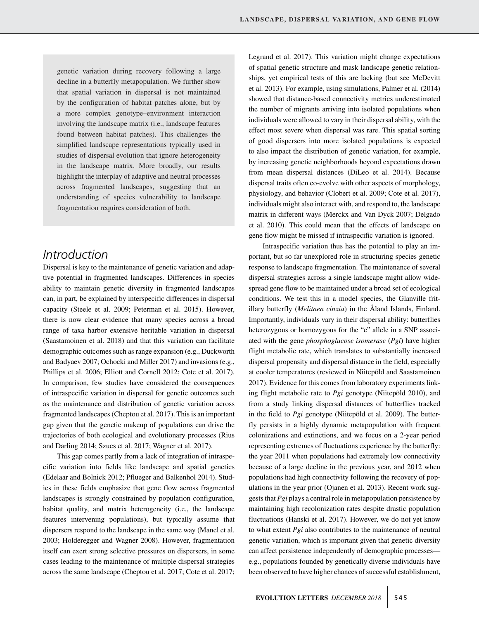genetic variation during recovery following a large decline in a butterfly metapopulation. We further show that spatial variation in dispersal is not maintained by the configuration of habitat patches alone, but by a more complex genotype–environment interaction involving the landscape matrix (i.e., landscape features found between habitat patches). This challenges the simplified landscape representations typically used in studies of dispersal evolution that ignore heterogeneity in the landscape matrix. More broadly, our results highlight the interplay of adaptive and neutral processes across fragmented landscapes, suggesting that an understanding of species vulnerability to landscape fragmentation requires consideration of both.

## *Introduction*

Dispersal is key to the maintenance of genetic variation and adaptive potential in fragmented landscapes. Differences in species ability to maintain genetic diversity in fragmented landscapes can, in part, be explained by interspecific differences in dispersal capacity (Steele et al. 2009; Peterman et al. 2015). However, there is now clear evidence that many species across a broad range of taxa harbor extensive heritable variation in dispersal (Saastamoinen et al. 2018) and that this variation can facilitate demographic outcomes such as range expansion (e.g., Duckworth and Badyaev 2007; Ochocki and Miller 2017) and invasions (e.g., Phillips et al. 2006; Elliott and Cornell 2012; Cote et al. 2017). In comparison, few studies have considered the consequences of intraspecific variation in dispersal for genetic outcomes such as the maintenance and distribution of genetic variation across fragmented landscapes (Cheptou et al. 2017). This is an important gap given that the genetic makeup of populations can drive the trajectories of both ecological and evolutionary processes (Rius and Darling 2014; Szucs et al. 2017; Wagner et al. 2017).

This gap comes partly from a lack of integration of intraspecific variation into fields like landscape and spatial genetics (Edelaar and Bolnick 2012; Pflueger and Balkenhol 2014). Studies in these fields emphasize that gene flow across fragmented landscapes is strongly constrained by population configuration, habitat quality, and matrix heterogeneity (i.e., the landscape features intervening populations), but typically assume that dispersers respond to the landscape in the same way (Manel et al. 2003; Holderegger and Wagner 2008). However, fragmentation itself can exert strong selective pressures on dispersers, in some cases leading to the maintenance of multiple dispersal strategies across the same landscape (Cheptou et al. 2017; Cote et al. 2017; Legrand et al. 2017). This variation might change expectations of spatial genetic structure and mask landscape genetic relationships, yet empirical tests of this are lacking (but see McDevitt et al. 2013). For example, using simulations, Palmer et al. (2014) showed that distance-based connectivity metrics underestimated the number of migrants arriving into isolated populations when individuals were allowed to vary in their dispersal ability, with the effect most severe when dispersal was rare. This spatial sorting of good dispersers into more isolated populations is expected to also impact the distribution of genetic variation, for example, by increasing genetic neighborhoods beyond expectations drawn from mean dispersal distances (DiLeo et al. 2014). Because dispersal traits often co-evolve with other aspects of morphology, physiology, and behavior (Clobert et al. 2009; Cote et al. 2017), individuals might also interact with, and respond to, the landscape matrix in different ways (Merckx and Van Dyck 2007; Delgado et al. 2010). This could mean that the effects of landscape on gene flow might be missed if intraspecific variation is ignored.

Intraspecific variation thus has the potential to play an important, but so far unexplored role in structuring species genetic response to landscape fragmentation. The maintenance of several dispersal strategies across a single landscape might allow widespread gene flow to be maintained under a broad set of ecological conditions. We test this in a model species, the Glanville fritillary butterfly (*Melitaea cinxia*) in the Aland Islands, Finland. Importantly, individuals vary in their dispersal ability: butterflies heterozygous or homozygous for the "c" allele in a SNP associated with the gene *phosphoglucose isomerase* (*Pgi*) have higher flight metabolic rate, which translates to substantially increased dispersal propensity and dispersal distance in the field, especially at cooler temperatures (reviewed in Niitepõld and Saastamoinen 2017). Evidence for this comes from laboratory experiments linking flight metabolic rate to *Pgi* genotype (Niitepold 2010), and from a study linking dispersal distances of butterflies tracked in the field to *Pgi* genotype (Niitepold et al. 2009). The butterfly persists in a highly dynamic metapopulation with frequent colonizations and extinctions, and we focus on a 2-year period representing extremes of fluctuations experience by the butterfly: the year 2011 when populations had extremely low connectivity because of a large decline in the previous year, and 2012 when populations had high connectivity following the recovery of populations in the year prior (Ojanen et al. 2013). Recent work suggests that *Pgi* plays a central role in metapopulation persistence by maintaining high recolonization rates despite drastic population fluctuations (Hanski et al. 2017). However, we do not yet know to what extent *Pgi* also contributes to the maintenance of neutral genetic variation, which is important given that genetic diversity can affect persistence independently of demographic processes e.g., populations founded by genetically diverse individuals have been observed to have higher chances of successful establishment,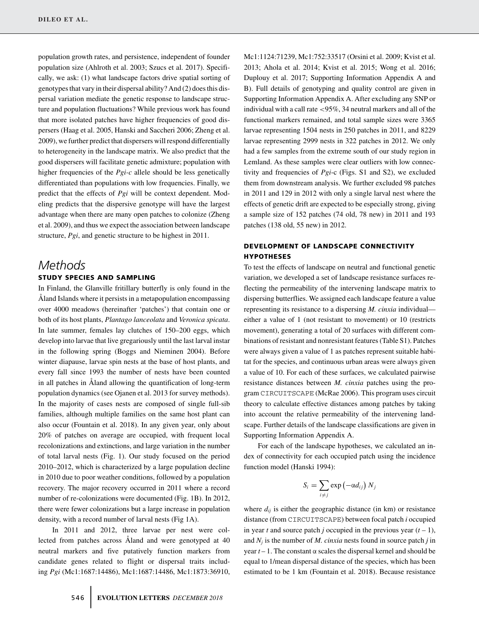population growth rates, and persistence, independent of founder population size (Ahlroth et al. 2003; Szucs et al. 2017). Specifically, we ask: (1) what landscape factors drive spatial sorting of genotypes that vary in their dispersal ability? And (2) does this dispersal variation mediate the genetic response to landscape structure and population fluctuations? While previous work has found that more isolated patches have higher frequencies of good dispersers (Haag et al. 2005, Hanski and Saccheri 2006; Zheng et al. 2009), we further predict that dispersers will respond differentially to heterogeneity in the landscape matrix. We also predict that the good dispersers will facilitate genetic admixture; population with higher frequencies of the *Pgi-c* allele should be less genetically differentiated than populations with low frequencies. Finally, we predict that the effects of *Pgi* will be context dependent. Modeling predicts that the dispersive genotype will have the largest advantage when there are many open patches to colonize (Zheng et al. 2009), and thus we expect the association between landscape structure, *Pgi*, and genetic structure to be highest in 2011.

## *Methods* **STUDY SPECIES AND SAMPLING**

In Finland, the Glanville fritillary butterfly is only found in the Aland Islands where it persists in a metapopulation encompassing over 4000 meadows (hereinafter 'patches') that contain one or both of its host plants, *Plantago lanceolata* and *Veronica spicata*. In late summer, females lay clutches of 150–200 eggs, which develop into larvae that live gregariously until the last larval instar in the following spring (Boggs and Nieminen 2004). Before winter diapause, larvae spin nests at the base of host plants, and every fall since 1993 the number of nests have been counted in all patches in Åland allowing the quantification of long-term population dynamics (see Ojanen et al. 2013 for survey methods). In the majority of cases nests are composed of single full-sib families, although multiple families on the same host plant can also occur (Fountain et al. 2018). In any given year, only about 20% of patches on average are occupied, with frequent local recolonizations and extinctions, and large variation in the number of total larval nests (Fig. 1). Our study focused on the period 2010–2012, which is characterized by a large population decline in 2010 due to poor weather conditions, followed by a population recovery. The major recovery occurred in 2011 where a record number of re-colonizations were documented (Fig. 1B). In 2012, there were fewer colonizations but a large increase in population density, with a record number of larval nests (Fig 1A).

In 2011 and 2012, three larvae per nest were collected from patches across Aland and were genotyped at 40 neutral markers and five putatively function markers from candidate genes related to flight or dispersal traits including *Pgi* (Mc1:1687:14486), Mc1:1687:14486, Mc1:1873:36910,

Mc1:1124:71239, Mc1:752:33517 (Orsini et al. 2009; Kvist et al. 2013; Ahola et al. 2014; Kvist et al. 2015; Wong et al. 2016; Duplouy et al. 2017; Supporting Information Appendix A and B). Full details of genotyping and quality control are given in Supporting Information Appendix A. After excluding any SNP or individual with a call rate <95%, 34 neutral markers and all of the functional markers remained, and total sample sizes were 3365 larvae representing 1504 nests in 250 patches in 2011, and 8229 larvae representing 2999 nests in 322 patches in 2012. We only had a few samples from the extreme south of our study region in Lemland. As these samples were clear outliers with low connectivity and frequencies of *Pgi*-c (Figs. S1 and S2), we excluded them from downstream analysis. We further excluded 98 patches in 2011 and 129 in 2012 with only a single larval nest where the effects of genetic drift are expected to be especially strong, giving a sample size of 152 patches (74 old, 78 new) in 2011 and 193 patches (138 old, 55 new) in 2012.

## **DEVELOPMENT OF LANDSCAPE CONNECTIVITY HYPOTHESES**

To test the effects of landscape on neutral and functional genetic variation, we developed a set of landscape resistance surfaces reflecting the permeability of the intervening landscape matrix to dispersing butterflies. We assigned each landscape feature a value representing its resistance to a dispersing *M. cinxia* individual either a value of 1 (not resistant to movement) or 10 (restricts movement), generating a total of 20 surfaces with different combinations of resistant and nonresistant features (Table S1). Patches were always given a value of 1 as patches represent suitable habitat for the species, and continuous urban areas were always given a value of 10. For each of these surfaces, we calculated pairwise resistance distances between *M. cinxia* patches using the program CIRCUITSCAPE (McRae 2006). This program uses circuit theory to calculate effective distances among patches by taking into account the relative permeability of the intervening landscape. Further details of the landscape classifications are given in Supporting Information Appendix A.

For each of the landscape hypotheses, we calculated an index of connectivity for each occupied patch using the incidence function model (Hanski 1994):

$$
S_i = \sum_{i \neq j} \exp\left(-\alpha d_{ij}\right) N_j
$$

where  $d_{ij}$  is either the geographic distance (in km) or resistance distance (from CIRCUITSCAPE) between focal patch *i* occupied in year *t* and source patch *j* occupied in the previous year  $(t - 1)$ , and  $N_i$  is the number of *M. cinxia* nests found in source patch *j* in year  $t - 1$ . The constant  $\alpha$  scales the dispersal kernel and should be equal to 1/mean dispersal distance of the species, which has been estimated to be 1 km (Fountain et al. 2018). Because resistance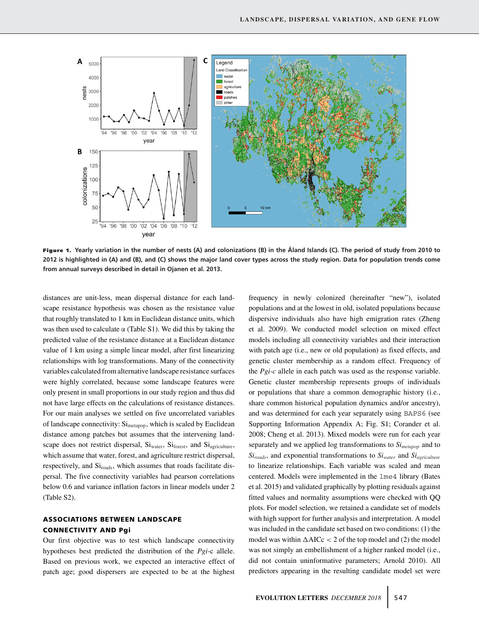

**Figure 1. Yearly variation in the number of nests (A) and colonizations (B) in the Aland Islands (C). The period of study from 2010 to ˚ 2012 is highlighted in (A) and (B), and (C) shows the major land cover types across the study region. Data for population trends come from annual surveys described in detail in Ojanen et al. 2013.**

distances are unit-less, mean dispersal distance for each landscape resistance hypothesis was chosen as the resistance value that roughly translated to 1 km in Euclidean distance units, which was then used to calculate  $\alpha$  (Table S1). We did this by taking the predicted value of the resistance distance at a Euclidean distance value of 1 km using a simple linear model, after first linearizing relationships with log transformations. Many of the connectivity variables calculated from alternative landscape resistance surfaces were highly correlated, because some landscape features were only present in small proportions in our study region and thus did not have large effects on the calculations of resistance distances. For our main analyses we settled on five uncorrelated variables of landscape connectivity: Si<sub>metapop</sub>, which is scaled by Euclidean distance among patches but assumes that the intervening landscape does not restrict dispersal, Si<sub>water</sub>, Si<sub>forest</sub>, and Si<sub>agriculture</sub>, which assume that water, forest, and agriculture restrict dispersal, respectively, and Si<sub>roads</sub>, which assumes that roads facilitate dispersal. The five connectivity variables had pearson correlations below 0.6 and variance inflation factors in linear models under 2 (Table S2).

#### **ASSOCIATIONS BETWEEN LANDSCAPE CONNECTIVITY AND Pgi**

Our first objective was to test which landscape connectivity hypotheses best predicted the distribution of the *Pgi*-c allele. Based on previous work, we expected an interactive effect of patch age; good dispersers are expected to be at the highest frequency in newly colonized (hereinafter "new"), isolated populations and at the lowest in old, isolated populations because dispersive individuals also have high emigration rates (Zheng et al. 2009). We conducted model selection on mixed effect models including all connectivity variables and their interaction with patch age (i.e., new or old population) as fixed effects, and genetic cluster membership as a random effect. Frequency of the *Pgi-c* allele in each patch was used as the response variable. Genetic cluster membership represents groups of individuals or populations that share a common demographic history (i.e., share common historical population dynamics and/or ancestry), and was determined for each year separately using BAPS6 (see Supporting Information Appendix A; Fig. S1; Corander et al. 2008; Cheng et al. 2013). Mixed models were run for each year separately and we applied log transformations to *Simetapop* and to *Siroads*, and exponential transformations to *Siwater* and *Siagriculture* to linearize relationships. Each variable was scaled and mean centered. Models were implemented in the lme4 library (Bates et al. 2015) and validated graphically by plotting residuals against fitted values and normality assumptions were checked with QQ plots. For model selection, we retained a candidate set of models with high support for further analysis and interpretation. A model was included in the candidate set based on two conditions: (1) the model was within  $\Delta AICc < 2$  of the top model and (2) the model was not simply an embellishment of a higher ranked model (i.e., did not contain uninformative parameters; Arnold 2010). All predictors appearing in the resulting candidate model set were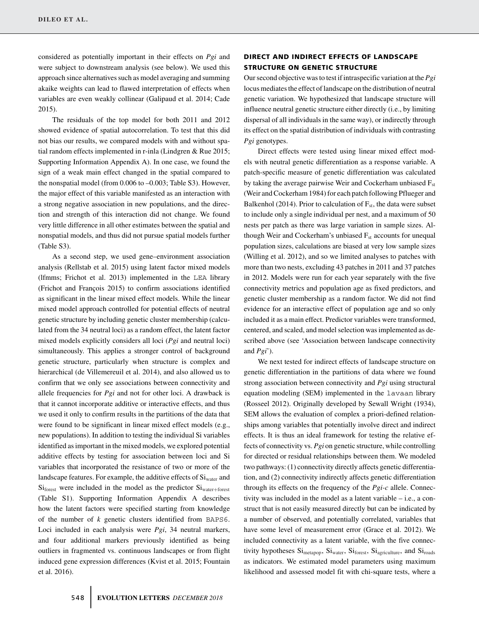considered as potentially important in their effects on *Pgi* and were subject to downstream analysis (see below). We used this approach since alternatives such as model averaging and summing akaike weights can lead to flawed interpretation of effects when variables are even weakly collinear (Galipaud et al. 2014; Cade 2015).

The residuals of the top model for both 2011 and 2012 showed evidence of spatial autocorrelation. To test that this did not bias our results, we compared models with and without spatial random effects implemented in r-inla (Lindgren & Rue 2015; Supporting Information Appendix A). In one case, we found the sign of a weak main effect changed in the spatial compared to the nonspatial model (from 0.006 to –0.003; Table S3). However, the major effect of this variable manifested as an interaction with a strong negative association in new populations, and the direction and strength of this interaction did not change. We found very little difference in all other estimates between the spatial and nonspatial models, and thus did not pursue spatial models further (Table S3).

As a second step, we used gene–environment association analysis (Rellstab et al. 2015) using latent factor mixed models (lfmms; Frichot et al. 2013) implemented in the LEA library (Frichot and François 2015) to confirm associations identified as significant in the linear mixed effect models. While the linear mixed model approach controlled for potential effects of neutral genetic structure by including genetic cluster membership (calculated from the 34 neutral loci) as a random effect, the latent factor mixed models explicitly considers all loci (*Pgi* and neutral loci) simultaneously. This applies a stronger control of background genetic structure, particularly when structure is complex and hierarchical (de Villemereuil et al. 2014), and also allowed us to confirm that we only see associations between connectivity and allele frequencies for *Pgi* and not for other loci. A drawback is that it cannot incorporate additive or interactive effects, and thus we used it only to confirm results in the partitions of the data that were found to be significant in linear mixed effect models (e.g., new populations). In addition to testing the individual Si variables identified as important in the mixed models, we explored potential additive effects by testing for association between loci and Si variables that incorporated the resistance of two or more of the landscape features. For example, the additive effects of Si<sub>water</sub> and  $Si$ <sub>forest</sub> were included in the model as the predictor  $Si$ <sub>water+forest</sub> (Table S1). Supporting Information Appendix A describes how the latent factors were specified starting from knowledge of the number of *k* genetic clusters identified from BAPS6. Loci included in each analysis were *Pgi*, 34 neutral markers, and four additional markers previously identified as being outliers in fragmented vs. continuous landscapes or from flight induced gene expression differences (Kvist et al. 2015; Fountain et al. 2016).

## **DIRECT AND INDIRECT EFFECTS OF LANDSCAPE STRUCTURE ON GENETIC STRUCTURE**

Our second objective was to test if intraspecific variation at the *Pgi* locus mediates the effect of landscape on the distribution of neutral genetic variation. We hypothesized that landscape structure will influence neutral genetic structure either directly (i.e., by limiting dispersal of all individuals in the same way), or indirectly through its effect on the spatial distribution of individuals with contrasting *Pgi* genotypes.

Direct effects were tested using linear mixed effect models with neutral genetic differentiation as a response variable. A patch-specific measure of genetic differentiation was calculated by taking the average pairwise Weir and Cockerham unbiased  $F_{st}$ (Weir and Cockerham 1984) for each patch following Pflueger and Balkenhol (2014). Prior to calculation of  $F_{st}$ , the data were subset to include only a single individual per nest, and a maximum of 50 nests per patch as there was large variation in sample sizes. Although Weir and Cockerham's unbiased  $F<sub>st</sub>$  accounts for unequal population sizes, calculations are biased at very low sample sizes (Willing et al. 2012), and so we limited analyses to patches with more than two nests, excluding 43 patches in 2011 and 37 patches in 2012. Models were run for each year separately with the five connectivity metrics and population age as fixed predictors, and genetic cluster membership as a random factor. We did not find evidence for an interactive effect of population age and so only included it as a main effect. Predictor variables were transformed, centered, and scaled, and model selection was implemented as described above (see 'Association between landscape connectivity and *Pgi*').

We next tested for indirect effects of landscape structure on genetic differentiation in the partitions of data where we found strong association between connectivity and *Pgi* using structural equation modeling (SEM) implemented in the lavaan library (Rosseel 2012). Originally developed by Sewall Wright (1934), SEM allows the evaluation of complex a priori-defined relationships among variables that potentially involve direct and indirect effects. It is thus an ideal framework for testing the relative effects of connectivity vs. *Pgi* on genetic structure, while controlling for directed or residual relationships between them. We modeled two pathways: (1) connectivity directly affects genetic differentiation, and (2) connectivity indirectly affects genetic differentiation through its effects on the frequency of the *Pgi-c* allele. Connectivity was included in the model as a latent variable – i.e., a construct that is not easily measured directly but can be indicated by a number of observed, and potentially correlated, variables that have some level of measurement error (Grace et al. 2012). We included connectivity as a latent variable, with the five connectivity hypotheses  $Si<sub>metapop</sub>, Si<sub>water</sub>, Si<sub>forest</sub>, Si<sub>agriculture</sub>, and Si<sub>roads</sub>$ as indicators. We estimated model parameters using maximum likelihood and assessed model fit with chi-square tests, where a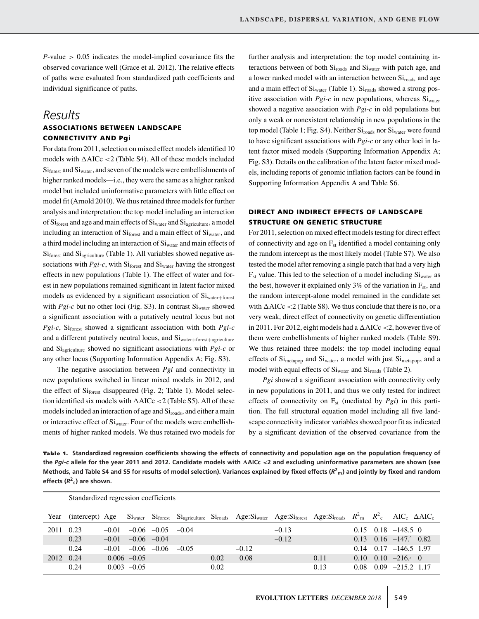*P*-value > 0.05 indicates the model-implied covariance fits the observed covariance well (Grace et al. 2012). The relative effects of paths were evaluated from standardized path coefficients and individual significance of paths.

## *Results*

## **ASSOCIATIONS BETWEEN LANDSCAPE CONNECTIVITY AND Pgi**

For data from 2011, selection on mixed effect models identified 10 models with  $\triangle AICc \lt 2$  (Table S4). All of these models included  $Si<sub>forest</sub>$  and  $Si<sub>water</sub>$ , and seven of the models were embellishments of higher ranked models—i.e., they were the same as a higher ranked model but included uninformative parameters with little effect on model fit (Arnold 2010). We thus retained three models for further analysis and interpretation: the top model including an interaction of Si<sub>forest</sub> and age and main effects of Si<sub>water</sub> and Si<sub>agriculture</sub>, a model including an interaction of  $Si<sub>forest</sub>$  and a main effect of  $Si<sub>water</sub>$ , and a third model including an interaction of Siwater and main effects of Si<sub>forest</sub> and Si<sub>agriculture</sub> (Table 1). All variables showed negative associations with  $Pgi-c$ , with  $Si<sub>forest</sub>$  and  $Si<sub>water</sub>$  having the strongest effects in new populations (Table 1). The effect of water and forest in new populations remained significant in latent factor mixed models as evidenced by a significant association of Siwater+forest with *Pgi-c* but no other loci (Fig. S3). In contrast Si<sub>water</sub> showed a significant association with a putatively neutral locus but not *Pgi-c*,  $Si$ <sub>forest</sub> showed a significant association with both *Pgi-c* and a different putatively neutral locus, and  $Si<sub>water+forest+agriculture</sub>$ and Siagriculture showed no significant associations with *Pgi-c* or any other locus (Supporting Information Appendix A; Fig. S3).

The negative association between *Pgi* and connectivity in new populations switched in linear mixed models in 2012, and the effect of Si<sub>forest</sub> disappeared (Fig. 2; Table 1). Model selection identified six models with  $\triangle AICc \ll 2$  (Table S5). All of these models included an interaction of age and Si<sub>roads</sub>, and either a main or interactive effect of Si<sub>water</sub>. Four of the models were embellishments of higher ranked models. We thus retained two models for

further analysis and interpretation: the top model containing interactions between of both  $Si<sub>roads</sub>$  and  $Si<sub>water</sub>$  with patch age, and a lower ranked model with an interaction between  $Si<sub>roads</sub>$  and age and a main effect of  $Si<sub>water</sub>$  (Table 1).  $Si<sub>roads</sub>$  showed a strong positive association with  $Pgi-c$  in new populations, whereas  $Si<sub>water</sub>$ showed a negative association with *Pgi-c* in old populations but only a weak or nonexistent relationship in new populations in the top model (Table 1; Fig. S4). Neither Si<sub>roads</sub> nor Si<sub>water</sub> were found to have significant associations with *Pgi-c* or any other loci in latent factor mixed models (Supporting Information Appendix A; Fig. S3). Details on the calibration of the latent factor mixed models, including reports of genomic inflation factors can be found in Supporting Information Appendix A and Table S6.

## **DIRECT AND INDIRECT EFFECTS OF LANDSCAPE STRUCTURE ON GENETIC STRUCTURE**

For 2011, selection on mixed effect models testing for direct effect of connectivity and age on  $F<sub>st</sub>$  identified a model containing only the random intercept as the most likely model (Table S7). We also tested the model after removing a single patch that had a very high  $F<sub>st</sub>$  value. This led to the selection of a model including  $Si<sub>water</sub>$  as the best, however it explained only 3% of the variation in  $F_{st}$ , and the random intercept-alone model remained in the candidate set with  $\triangle AICc < 2$  (Table S8). We thus conclude that there is no, or a very weak, direct effect of connectivity on genetic differentiation in 2011. For 2012, eight models had a  $\Delta AICc < 2$ , however five of them were embellishments of higher ranked models (Table S9). We thus retained three models: the top model including equal effects of  $Si<sub>metapop</sub>$  and  $Si<sub>water</sub>$ , a model with just  $Si<sub>metapop</sub>$ , and a model with equal effects of  $Si<sub>water</sub>$  and  $Si<sub>roads</sub>$  (Table 2).

*Pgi* showed a significant association with connectivity only in new populations in 2011, and thus we only tested for indirect effects of connectivity on  $F<sub>st</sub>$  (mediated by *Pgi*) in this partition. The full structural equation model including all five landscape connectivity indicator variables showed poor fit as indicated by a significant deviation of the observed covariance from the

Table 1. Standardized regression coefficients showing the effects of connectivity and population age on the population frequency of **the** *Pgi-c* **allele for the year 2011 and 2012. Candidate models with -AICc <2 and excluding uninformative parameters are shown (see Methods, and Table S4 and S5 for results of model selection). Variances explained by fixed effects (***R***<sup>2</sup> m) and jointly by fixed and random effects (***R***<sup>2</sup> c) are shown.**

|      | Standardized regression coefficients |         |                 |                 |         |      |                                                                                                               |         |      |      |                               |  |
|------|--------------------------------------|---------|-----------------|-----------------|---------|------|---------------------------------------------------------------------------------------------------------------|---------|------|------|-------------------------------|--|
| Year | (intercept) Age                      |         |                 |                 |         |      | $Siwater$ $Siforest$ $Siagriculture$ $Siroads$ $Age:Siwater$ $Age:Siforest$ $Age:Siroads$ $R^2_{m}$ $R^2_{c}$ |         |      |      | $AIC_c \Delta AIC_c$          |  |
| 2011 | 0.23                                 | $-0.01$ |                 | $-0.06$ $-0.05$ | $-0.04$ |      |                                                                                                               | $-0.13$ |      |      | $0.15$ $0.18$ $-148.5$ 0      |  |
|      | 0.23                                 | $-0.01$ | $-0.06$ $-0.04$ |                 |         |      |                                                                                                               | $-0.12$ |      |      | $0.13$ $0.16$ $-147$ ; $0.82$ |  |
|      | 0.24                                 | $-0.01$ |                 | $-0.06$ $-0.06$ | $-0.05$ |      | $-0.12$                                                                                                       |         |      |      | $0.14$ $0.17$ $-146.5$ 1.97   |  |
| 2012 | 0.24                                 |         | $0.006 -0.05$   |                 |         | 0.02 | 0.08                                                                                                          |         | 0.11 | 0.10 | $0.10 -216.4 = 0$             |  |
|      | 0.24                                 |         | $0.003 -0.05$   |                 |         | 0.02 |                                                                                                               |         | 0.13 | 0.08 | $0.09 -215.2$ 1.17            |  |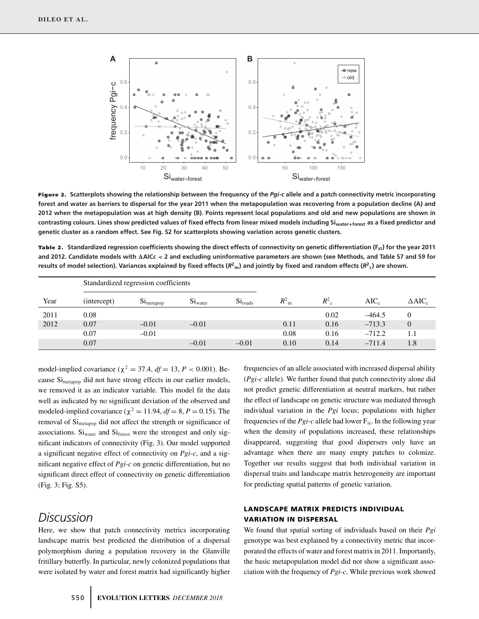

**Figure 2. Scatterplots showing the relationship between the frequency of the** *Pgi-c* **allele and a patch connectivity metric incorporating forest and water as barriers to dispersal for the year 2011 when the metapopulation was recovering from a population decline (A) and 2012 when the metapopulation was at high density (B). Points represent local populations and old and new populations are shown in contrasting colours. Lines show predicted values of fixed effects from linear mixed models including Siwater+forest as a fixed predictor and genetic cluster as a random effect. See Fig. S2 for scatterplots showing variation across genetic clusters.**

**Table 2.** Standardized regression coefficients showing the direct effects of connectivity on genetic differentiation (F<sub>st</sub>) for the year 2011 and 2012. Candidate models with ∆AICc < 2 and excluding uninformative parameters are shown (see Methods, and Table S7 and S9 for **results of model selection). Variances explained by fixed effects (***R***<sup>2</sup> m) and jointly by fixed and random effects (***R***<sup>2</sup> c) are shown.**

|      |             | Standardized regression coefficients |                     |                     |               |                    |          |                   |
|------|-------------|--------------------------------------|---------------------|---------------------|---------------|--------------------|----------|-------------------|
| Year | (intercept) | $Si_{metapop}$                       | Si <sub>water</sub> | Si <sub>roads</sub> | $R_{\rm m}^2$ | $R^2$ <sub>c</sub> | $AIC_c$  | $\triangle AIC_c$ |
| 2011 | 0.08        |                                      |                     |                     |               | 0.02               | $-464.5$ | $\theta$          |
| 2012 | 0.07        | $-0.01$                              | $-0.01$             |                     | 0.11          | 0.16               | $-713.3$ | $\overline{0}$    |
|      | 0.07        | $-0.01$                              |                     |                     | 0.08          | 0.16               | $-712.2$ | 1.1               |
|      | 0.07        |                                      | $-0.01$             | $-0.01$             | 0.10          | 0.14               | $-711.4$ | 1.8               |

model-implied covariance ( $χ² = 37.4, df = 13, P < 0.001$ ). Because Simetapop did not have strong effects in our earlier models, we removed it as an indicator variable. This model fit the data well as indicated by no significant deviation of the observed and modeled-implied covariance ( $\chi^2 = 11.94$ ,  $df = 8$ ,  $P = 0.15$ ). The removal of  $Si<sub>metapop</sub>$  did not affect the strength or significance of associations. Siwater and Siforest were the strongest and only significant indicators of connectivity (Fig. 3). Our model supported a significant negative effect of connectivity on *Pgi-c*, and a significant negative effect of *Pgi-c* on genetic differentiation, but no significant direct effect of connectivity on genetic differentiation (Fig. 3; Fig. S5).

## *Discussion*

Here, we show that patch connectivity metrics incorporating landscape matrix best predicted the distribution of a dispersal polymorphism during a population recovery in the Glanville fritillary butterfly. In particular, newly colonized populations that were isolated by water and forest matrix had significantly higher

frequencies of an allele associated with increased dispersal ability (*Pgi-c* allele). We further found that patch connectivity alone did not predict genetic differentiation at neutral markers, but rather the effect of landscape on genetic structure was mediated through individual variation in the *Pgi* locus; populations with higher frequencies of the  $Pgi-c$  allele had lower  $F_{st}$ . In the following year when the density of populations increased, these relationships disappeared, suggesting that good dispersers only have an advantage when there are many empty patches to colonize. Together our results suggest that both individual variation in dispersal traits and landscape matrix heterogeneity are important for predicting spatial patterns of genetic variation.

## **LANDSCAPE MATRIX PREDICTS INDIVIDUAL VARIATION IN DISPERSAL**

We found that spatial sorting of individuals based on their *Pgi* genotype was best explained by a connectivity metric that incorporated the effects of water and forest matrix in 2011. Importantly, the basic metapopulation model did not show a significant association with the frequency of *Pgi-c*. While previous work showed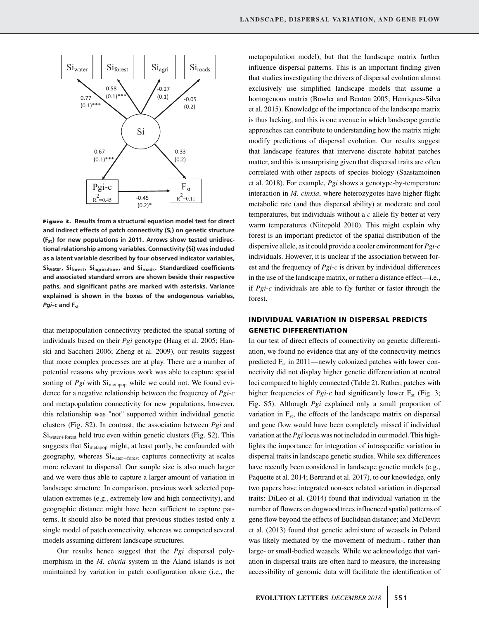

**Figure 3. Results from a structural equation model test for direct and indirect effects of patch connectivity (Si) on genetic structure (Fst) for new populations in 2011. Arrows show tested unidirectional relationship among variables. Connectivity (Si) was included as a latent variable described by four observed indicator variables,** Si<sub>water</sub>, Si<sub>forest</sub>, Si<sub>agriculture</sub>, and Si<sub>roads</sub>. Standardized coefficients **and associated standard errors are shown beside their respective paths, and significant paths are marked with asterisks. Variance explained is shown in the boxes of the endogenous variables,** *Pgi-c* and F<sub>st</sub>

that metapopulation connectivity predicted the spatial sorting of individuals based on their *Pgi* genotype (Haag et al. 2005; Hanski and Saccheri 2006; Zheng et al. 2009), our results suggest that more complex processes are at play. There are a number of potential reasons why previous work was able to capture spatial sorting of *Pgi* with Si<sub>metapop</sub> while we could not. We found evidence for a negative relationship between the frequency of *Pgi-c* and metapopulation connectivity for new populations, however, this relationship was "not" supported within individual genetic clusters (Fig. S2). In contrast, the association between *Pgi* and Siwater+forest held true even within genetic clusters (Fig. S2). This suggests that  $Si<sub>metapop</sub>$  might, at least partly, be confounded with geography, whereas Siwater+forest captures connectivity at scales more relevant to dispersal. Our sample size is also much larger and we were thus able to capture a larger amount of variation in landscape structure. In comparison, previous work selected population extremes (e.g., extremely low and high connectivity), and geographic distance might have been sufficient to capture patterns. It should also be noted that previous studies tested only a single model of patch connectivity, whereas we competed several models assuming different landscape structures.

Our results hence suggest that the *Pgi* dispersal polymorphism in the *M. cinxia* system in the Aland islands is not maintained by variation in patch configuration alone (i.e., the metapopulation model), but that the landscape matrix further influence dispersal patterns. This is an important finding given that studies investigating the drivers of dispersal evolution almost exclusively use simplified landscape models that assume a homogenous matrix (Bowler and Benton 2005; Henriques-Silva et al. 2015). Knowledge of the importance of the landscape matrix is thus lacking, and this is one avenue in which landscape genetic approaches can contribute to understanding how the matrix might modify predictions of dispersal evolution. Our results suggest that landscape features that intervene discrete habitat patches matter, and this is unsurprising given that dispersal traits are often correlated with other aspects of species biology (Saastamoinen et al. 2018). For example, *Pgi* shows a genotype-by-temperature interaction in *M. cinxia*, where heterozygotes have higher flight metabolic rate (and thus dispersal ability) at moderate and cool temperatures, but individuals without a *c* allele fly better at very warm temperatures (Niitepõld 2010). This might explain why forest is an important predictor of the spatial distribution of the dispersive allele, as it could provide a cooler environment for*Pgi-c* individuals. However, it is unclear if the association between forest and the frequency of *Pgi-c* is driven by individual differences in the use of the landscape matrix, or rather a distance effect—i.e., if *Pgi-c* individuals are able to fly further or faster through the forest.

#### **INDIVIDUAL VARIATION IN DISPERSAL PREDICTS GENETIC DIFFERENTIATION**

In our test of direct effects of connectivity on genetic differentiation, we found no evidence that any of the connectivity metrics predicted Fst in 2011—newly colonized patches with lower connectivity did not display higher genetic differentiation at neutral loci compared to highly connected (Table 2). Rather, patches with higher frequencies of  $Pgi-c$  had significantly lower  $F_{st}$  (Fig. 3; Fig. S5). Although *Pgi* explained only a small proportion of variation in  $F_{st}$ , the effects of the landscape matrix on dispersal and gene flow would have been completely missed if individual variation at the *Pgi* locus was not included in our model. This highlights the importance for integration of intraspecific variation in dispersal traits in landscape genetic studies. While sex differences have recently been considered in landscape genetic models (e.g., Paquette et al. 2014; Bertrand et al. 2017), to our knowledge, only two papers have integrated non-sex related variation in dispersal traits: DiLeo et al. (2014) found that individual variation in the number of flowers on dogwood trees influenced spatial patterns of gene flow beyond the effects of Euclidean distance; and McDevitt et al. (2013) found that genetic admixture of weasels in Poland was likely mediated by the movement of medium-, rather than large- or small-bodied weasels. While we acknowledge that variation in dispersal traits are often hard to measure, the increasing accessibility of genomic data will facilitate the identification of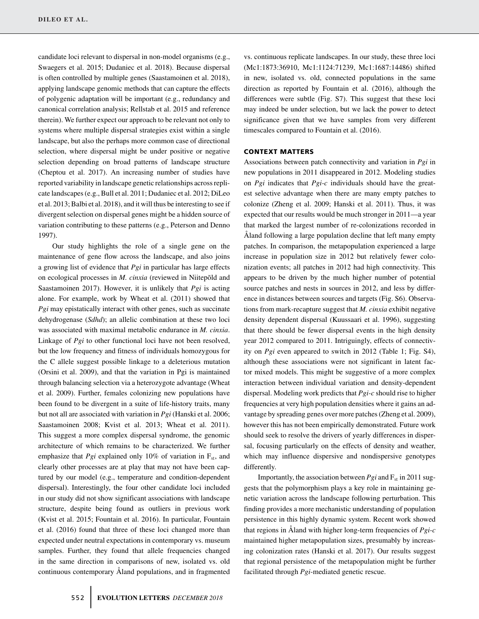candidate loci relevant to dispersal in non-model organisms (e.g., Swaegers et al. 2015; Dudaniec et al. 2018). Because dispersal is often controlled by multiple genes (Saastamoinen et al. 2018), applying landscape genomic methods that can capture the effects of polygenic adaptation will be important (e.g., redundancy and canonical correlation analysis; Rellstab et al. 2015 and reference therein). We further expect our approach to be relevant not only to systems where multiple dispersal strategies exist within a single landscape, but also the perhaps more common case of directional selection, where dispersal might be under positive or negative selection depending on broad patterns of landscape structure (Cheptou et al. 2017). An increasing number of studies have reported variability in landscape genetic relationships across replicate landscapes (e.g., Bull et al. 2011; Dudaniec et al. 2012; DiLeo et al. 2013; Balbi et al. 2018), and it will thus be interesting to see if divergent selection on dispersal genes might be a hidden source of variation contributing to these patterns (e.g., Peterson and Denno 1997).

Our study highlights the role of a single gene on the maintenance of gene flow across the landscape, and also joins a growing list of evidence that *Pgi* in particular has large effects on ecological processes in *M. cinxia* (reviewed in Niitepõld and Saastamoinen 2017). However, it is unlikely that *Pgi* is acting alone. For example, work by Wheat et al. (2011) showed that *Pgi* may epistatically interact with other genes, such as succinate dehydrogenase (*Sdhd*); an allelic combination at these two loci was associated with maximal metabolic endurance in *M. cinxia*. Linkage of *Pgi* to other functional loci have not been resolved, but the low frequency and fitness of individuals homozygous for the C allele suggest possible linkage to a deleterious mutation (Orsini et al. 2009), and that the variation in Pgi is maintained through balancing selection via a heterozygote advantage (Wheat et al. 2009). Further, females colonizing new populations have been found to be divergent in a suite of life-history traits, many but not all are associated with variation in *Pgi* (Hanski et al. 2006; Saastamoinen 2008; Kvist et al. 2013; Wheat et al. 2011). This suggest a more complex dispersal syndrome, the genomic architecture of which remains to be characterized. We further emphasize that *Pgi* explained only 10% of variation in  $F_{st}$ , and clearly other processes are at play that may not have been captured by our model (e.g., temperature and condition-dependent dispersal). Interestingly, the four other candidate loci included in our study did not show significant associations with landscape structure, despite being found as outliers in previous work (Kvist et al. 2015; Fountain et al. 2016). In particular, Fountain et al. (2016) found that three of these loci changed more than expected under neutral expectations in contemporary vs. museum samples. Further, they found that allele frequencies changed in the same direction in comparisons of new, isolated vs. old continuous contemporary Aland populations, and in fragmented

vs. continuous replicate landscapes. In our study, these three loci (Mc1:1873:36910, Mc1:1124:71239, Mc1:1687:14486) shifted in new, isolated vs. old, connected populations in the same direction as reported by Fountain et al. (2016), although the differences were subtle (Fig. S7). This suggest that these loci may indeed be under selection, but we lack the power to detect significance given that we have samples from very different timescales compared to Fountain et al. (2016).

#### **CONTEXT MATTERS**

Associations between patch connectivity and variation in *Pgi* in new populations in 2011 disappeared in 2012. Modeling studies on *Pgi* indicates that *Pgi-c* individuals should have the greatest selective advantage when there are many empty patches to colonize (Zheng et al. 2009; Hanski et al. 2011). Thus, it was expected that our results would be much stronger in 2011—a year that marked the largest number of re-colonizations recorded in Aland following a large population decline that left many empty patches. In comparison, the metapopulation experienced a large increase in population size in 2012 but relatively fewer colonization events; all patches in 2012 had high connectivity. This appears to be driven by the much higher number of potential source patches and nests in sources in 2012, and less by difference in distances between sources and targets (Fig. S6). Observations from mark-recapture suggest that *M. cinxia* exhibit negative density dependent dispersal (Kuussaari et al. 1996), suggesting that there should be fewer dispersal events in the high density year 2012 compared to 2011. Intriguingly, effects of connectivity on *Pgi* even appeared to switch in 2012 (Table 1; Fig. S4), although these associations were not significant in latent factor mixed models. This might be suggestive of a more complex interaction between individual variation and density-dependent dispersal. Modeling work predicts that *Pgi-c* should rise to higher frequencies at very high population densities where it gains an advantage by spreading genes over more patches (Zheng et al. 2009), however this has not been empirically demonstrated. Future work should seek to resolve the drivers of yearly differences in dispersal, focusing particularly on the effects of density and weather, which may influence dispersive and nondispersive genotypes differently.

Importantly, the association between  $Pgi$  and  $F<sub>st</sub>$  in 2011 suggests that the polymorphism plays a key role in maintaining genetic variation across the landscape following perturbation. This finding provides a more mechanistic understanding of population persistence in this highly dynamic system. Recent work showed that regions in Aland with higher long-term frequencies of  $Pgi-c$ maintained higher metapopulation sizes, presumably by increasing colonization rates (Hanski et al. 2017). Our results suggest that regional persistence of the metapopulation might be further facilitated through *Pgi*-mediated genetic rescue.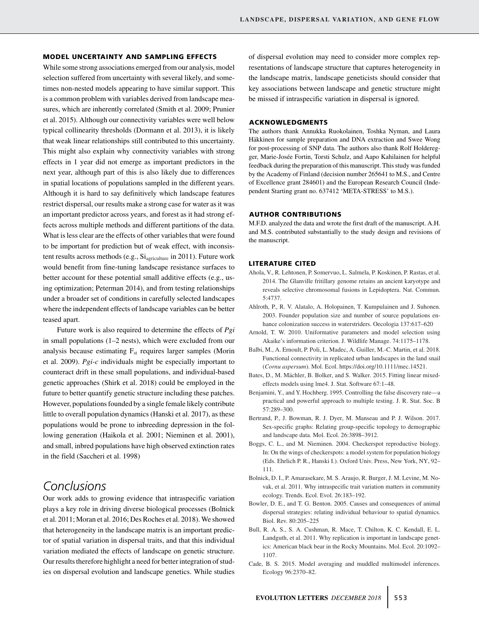#### **MODEL UNCERTAINTY AND SAMPLING EFFECTS**

While some strong associations emerged from our analysis, model selection suffered from uncertainty with several likely, and sometimes non-nested models appearing to have similar support. This is a common problem with variables derived from landscape measures, which are inherently correlated (Smith et al. 2009; Prunier et al. 2015). Although our connectivity variables were well below typical collinearity thresholds (Dormann et al. 2013), it is likely that weak linear relationships still contributed to this uncertainty. This might also explain why connectivity variables with strong effects in 1 year did not emerge as important predictors in the next year, although part of this is also likely due to differences in spatial locations of populations sampled in the different years. Although it is hard to say definitively which landscape features restrict dispersal, our results make a strong case for water as it was an important predictor across years, and forest as it had strong effects across multiple methods and different partitions of the data. What is less clear are the effects of other variables that were found to be important for prediction but of weak effect, with inconsistent results across methods (e.g., Si<sub>agriculture</sub> in 2011). Future work would benefit from fine-tuning landscape resistance surfaces to better account for these potential small additive effects (e.g., using optimization; Peterman 2014), and from testing relationships under a broader set of conditions in carefully selected landscapes where the independent effects of landscape variables can be better teased apart.

Future work is also required to determine the effects of *Pgi* in small populations (1–2 nests), which were excluded from our analysis because estimating  $F_{st}$  requires larger samples (Morin et al. 2009). *Pgi-c* individuals might be especially important to counteract drift in these small populations, and individual-based genetic approaches (Shirk et al. 2018) could be employed in the future to better quantify genetic structure including these patches. However, populations founded by a single female likely contribute little to overall population dynamics (Hanski et al. 2017), as these populations would be prone to inbreeding depression in the following generation (Haikola et al. 2001; Nieminen et al. 2001), and small, inbred populations have high observed extinction rates in the field (Saccheri et al. 1998)

## *Conclusions*

Our work adds to growing evidence that intraspecific variation plays a key role in driving diverse biological processes (Bolnick et al. 2011; Moran et al. 2016; Des Roches et al. 2018). We showed that heterogeneity in the landscape matrix is an important predictor of spatial variation in dispersal traits, and that this individual variation mediated the effects of landscape on genetic structure. Our results therefore highlight a need for better integration of studies on dispersal evolution and landscape genetics. While studies

of dispersal evolution may need to consider more complex representations of landscape structure that captures heterogeneity in the landscape matrix, landscape geneticists should consider that key associations between landscape and genetic structure might be missed if intraspecific variation in dispersal is ignored.

#### **ACKNOWLEDGMENTS**

The authors thank Annukka Ruokolainen, Toshka Nyman, and Laura Häkkinen for sample preparation and DNA extraction and Swee Wong for post-processing of SNP data. The authors also thank Rolf Holderegger, Marie-Josée Fortin, Torsti Schulz, and Aapo Kahilainen for helpful feedback during the preparation of this manuscript. This study was funded by the Academy of Finland (decision number 265641 to M.S., and Centre of Excellence grant 284601) and the European Research Council (Independent Starting grant no. 637412 'META-STRESS' to M.S.).

#### **AUTHOR CONTRIBUTIONS**

M.F.D. analyzed the data and wrote the first draft of the manuscript. A.H. and M.S. contributed substantially to the study design and revisions of the manuscript.

#### **LITERATURE CITED**

- Ahola, V., R. Lehtonen, P. Somervuo, L. Salmela, P. Koskinen, P. Rastas, et al. 2014. The Glanville fritillary genome retains an ancient karyotype and reveals selective chromosomal fusions in Lepidoptera. Nat. Commun. 5:4737.
- Ahlroth, P., R. V. Alatalo, A. Holopainen, T. Kumpulainen and J. Suhonen. 2003. Founder population size and number of source populations enhance colonization success in waterstriders. Oecologia 137:617–620
- Arnold, T. W. 2010. Uniformative parameters and model selection using Akaike's information criterion. J. Wildlife Manage. 74:1175–1178.
- Balbi, M., A. Ernoult, P. Poli, L. Madec, A. Guiller, M.-C. Martin, et al. 2018. Functional connectivity in replicated urban landscapes in the land snail (*Cornu aspersum*). Mol. Ecol. [https://doi.org/10.1111/mec.14521.](https://doi.org/10.1111/mec.14521)
- Bates, D., M. Mächler, B. Bolker, and S. Walker. 2015. Fitting linear mixedeffects models using lme4. J. Stat. Software 67:1–48.
- Benjamini, Y., and Y. Hochberg. 1995. Controlling the false discovery rate—a practical and powerful approach to multiple testing. J. R. Stat. Soc. B 57:289–300.
- Bertrand, P., J. Bowman, R. J. Dyer, M. Manseau and P. J. Wilson. 2017. Sex-specific graphs: Relating group-specific topology to demographic and landscape data. Mol. Ecol. 26:3898–3912.
- Boggs, C. L., and M. Nieminen. 2004. Checkerspot reproductive biology. In: On the wings of checkerspots: a model system for population biology (Eds. Ehrlich P. R., Hanski I.). Oxford Univ. Press, New York, NY, 92– 111.
- Bolnick, D. I., P. Amarasekare, M. S. Araujo, R. Burger, J. M. Levine, M. Novak, et al. 2011. Why intraspecific trait variation matters in community ecology. Trends. Ecol. Evol. 26:183–192.
- Bowler, D. E., and T. G. Benton. 2005. Causes and consequences of animal dispersal strategies: relating individual behaviour to spatial dynamics. Biol. Rev. 80:205–225
- Bull, R. A. S., S. A. Cushman, R. Mace, T. Chilton, K. C. Kendall, E. L. Landguth, et al. 2011. Why replication is important in landscape genetics: American black bear in the Rocky Mountains. Mol. Ecol. 20:1092– 1107.
- Cade, B. S. 2015. Model averaging and muddled multimodel inferences. Ecology 96:2370–82.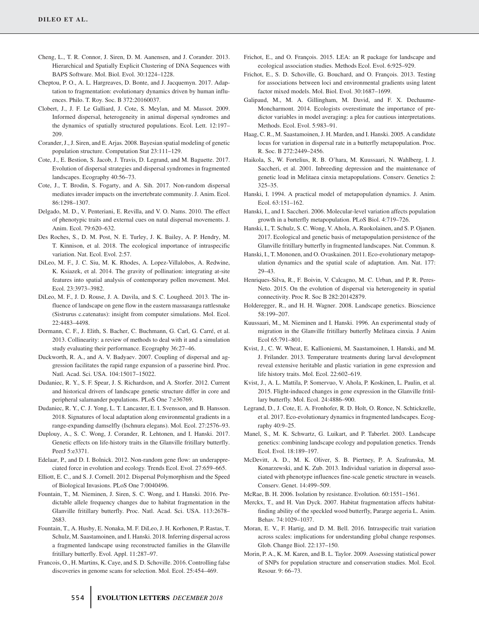- Cheng, L., T. R. Connor, J. Siren, D. M. Aanensen, and J. Corander. 2013. Hierarchical and Spatially Explicit Clustering of DNA Sequences with BAPS Software. Mol. Biol. Evol. 30:1224–1228.
- Cheptou, P. O., A. L. Hargreaves, D. Bonte, and J. Jacquemyn. 2017. Adaptation to fragmentation: evolutionary dynamics driven by human influences. Philo. T. Roy. Soc. B 372:20160037.
- Clobert, J., J. F. Le Galliard, J. Cote, S. Meylan, and M. Massot. 2009. Informed dispersal, heterogeneity in animal dispersal syndromes and the dynamics of spatially structured populations. Ecol. Lett. 12:197– 209.
- Corander, J., J. Siren, and E. Arjas. 2008. Bayesian spatial modeling of genetic population structure. Computation Stat 23:111–129.
- Cote, J., E. Bestion, S. Jacob, J. Travis, D. Legrand, and M. Baguette. 2017. Evolution of dispersal strategies and dispersal syndromes in fragmented landscapes. Ecography 40:56–73.
- Cote, J., T. Brodin, S. Fogarty, and A. Sih. 2017. Non-random dispersal mediates invader impacts on the invertebrate community. J. Anim. Ecol. 86:1298–1307.
- Delgado, M. D., V. Penteriani, E. Revilla, and V. O. Nams. 2010. The effect of phenotypic traits and external cues on natal dispersal movements. J. Anim. Ecol. 79:620–632.
- Des Roches, S., D. M. Post, N. E. Turley, J. K. Bailey, A. P. Hendry, M. T. Kinnison, et al. 2018. The ecological importance of intraspecific variation. Nat. Ecol. Evol. 2:57.
- DiLeo, M. F., J. C. Siu, M. K. Rhodes, A. Lopez-Villalobos, A. Redwine, K. Ksiazek, et al. 2014. The gravity of pollination: integrating at-site features into spatial analysis of contemporary pollen movement. Mol. Ecol. 23:3973–3982.
- DiLeo, M. F., J. D. Rouse, J. A. Davila, and S. C. Lougheed. 2013. The influence of landscape on gene flow in the eastern massasauga rattlesnake (Sistrurus c.catenatus): insight from computer simulations. Mol. Ecol. 22:4483–4498.
- Dormann, C. F., J. Elith, S. Bacher, C. Buchmann, G. Carl, G. Carre, et al. ´ 2013. Collinearity: a review of methods to deal with it and a simulation study evaluating their performance. Ecography 36:27–46.
- Duckworth, R. A., and A. V. Badyaev. 2007. Coupling of dispersal and aggression facilitates the rapid range expansion of a passerine bird. Proc. Natl. Acad. Sci. USA. 104:15017–15022.
- Dudaniec, R. Y., S. F. Spear, J. S. Richardson, and A. Storfer. 2012. Current and historical drivers of landscape genetic structure differ in core and peripheral salamander populations. PLoS One 7:e36769.
- Dudaniec, R. Y., C. J. Yong, L. T. Lancaster, E. I. Svensson, and B. Hansson. 2018. Signatures of local adaptation along environmental gradients in a range-expanding damselfly (Ischnura elegans). Mol. Ecol. 27:2576–93.
- Duplouy, A., S. C. Wong, J. Corander, R. Lehtonen, and I. Hanski. 2017. Genetic effects on life-history traits in the Glanville fritillary butterfly. PeerJ 5:e3371.
- Edelaar, P., and D. I. Bolnick. 2012. Non-random gene flow: an underappreciated force in evolution and ecology. Trends Ecol. Evol. 27:659–665.
- Elliott, E. C., and S. J. Cornell. 2012. Dispersal Polymorphism and the Speed of Biological Invasions. PLoS One 7:0040496.
- Fountain, T., M. Nieminen, J. Siren, S. C. Wong, and I. Hanski. 2016. Predictable allele frequency changes due to habitat fragmentation in the Glanville fritillary butterfly. Proc. Natl. Acad. Sci. USA. 113:2678– 2683.
- Fountain, T., A. Husby, E. Nonaka, M. F. DiLeo, J. H. Korhonen, P. Rastas, T. Schulz, M. Saastamoinen, and I. Hanski. 2018. Inferring dispersal across a fragmented landscape using reconstructed families in the Glanville fritillary butterfly. Evol. Appl. 11:287–97.
- Francois, O., H. Martins, K. Caye, and S. D. Schoville. 2016. Controlling false discoveries in genome scans for selection. Mol. Ecol. 25:454–469.
- Frichot, E., and O. François. 2015. LEA: an R package for landscape and ecological association studies. Methods Ecol. Evol. 6:925–929.
- Frichot, E., S. D. Schoville, G. Bouchard, and O. François. 2013. Testing for associations between loci and environmental gradients using latent factor mixed models. Mol. Biol. Evol. 30:1687–1699.
- Galipaud, M., M. A. Gillingham, M. David, and F. X. Dechaume-Moncharmont. 2014. Ecologists overestimate the importance of predictor variables in model averaging: a plea for cautious interpretations. Methods. Ecol. Evol. 5:983–91.
- Haag, C. R., M. Saastamoinen, J. H. Marden, and I. Hanski. 2005. A candidate locus for variation in dispersal rate in a butterfly metapopulation. Proc. R. Soc. B 272:2449–2456.
- Haikola, S., W. Fortelius, R. B. O'hara, M. Kuussaari, N. Wahlberg, I. J. Saccheri, et al. 2001. Inbreeding depression and the maintenance of genetic load in Melitaea cinxia metapopulations. Conserv. Genetics 2: 325–35.
- Hanski, I. 1994. A practical model of metapopulation dynamics. J. Anim. Ecol. 63:151–162.
- Hanski, I., and I. Saccheri. 2006. Molecular-level variation affects population growth in a butterfly metapopulation. PLoS Biol. 4:719–726.
- Hanski, I., T. Schulz, S. C. Wong, V. Ahola, A. Ruokolainen, and S. P. Ojanen. 2017. Ecological and genetic basis of metapopulation persistence of the Glanville fritillary butterfly in fragmented landscapes. Nat. Commun. 8.
- Hanski, I., T. Mononen, and O. Ovaskainen. 2011. Eco-evolutionary metapopulation dynamics and the spatial scale of adaptation. Am. Nat. 177: 29–43.
- Henriques-Silva, R., F. Boivin, V. Calcagno, M. C. Urban, and P. R. Peres-Neto. 2015. On the evolution of dispersal via heterogeneity in spatial connectivity. Proc R. Soc B 282:20142879.
- Holderegger, R., and H. H. Wagner. 2008. Landscape genetics. Bioscience 58:199–207.
- Kuussaari, M., M. Nieminen and I. Hanski. 1996. An experimental study of migration in the Glanville fritillary butterfly Melitaea cinxia. J Anim Ecol 65:791–801.
- Kvist, J., C. W. Wheat, E. Kallioniemi, M. Saastamoinen, I. Hanski, and M. J. Frilander. 2013. Temperature treatments during larval development reveal extensive heritable and plastic variation in gene expression and life history traits. Mol. Ecol. 22:602–619.
- Kvist, J., A. L. Mattila, P. Somervuo, V. Ahola, P. Koskinen, L. Paulin, et al. 2015. Flight-induced changes in gene expression in the Glanville fritillary butterfly. Mol. Ecol. 24:4886–900.
- Legrand, D., J. Cote, E. A. Fronhofer, R. D. Holt, O. Ronce, N. Schtickzelle, et al. 2017. Eco-evolutionary dynamics in fragmented landscapes. Ecography 40:9–25.
- Manel, S., M. K. Schwartz, G. Luikart, and P. Taberlet. 2003. Landscape genetics: combining landscape ecology and population genetics. Trends Ecol. Evol. 18:189–197.
- McDevitt, A. D., M. K. Oliver, S. B. Piertney, P. A. Szafranska, M. Konarzewski, and K. Zub. 2013. Individual variation in dispersal associated with phenotype influences fine-scale genetic structure in weasels. Conserv. Genet. 14:499–509.
- McRae, B. H. 2006. Isolation by resistance. Evolution. 60:1551–1561.
- Merckx, T., and H. Van Dyck. 2007. Habitat fragmentation affects habitatfinding ability of the speckled wood butterfly, Pararge aegeria L. Anim. Behav. 74:1029–1037.
- Moran, E. V., F. Hartig, and D. M. Bell. 2016. Intraspecific trait variation across scales: implications for understanding global change responses. Glob. Change Biol. 22:137–150.
- Morin, P. A., K. M. Karen, and B. L. Taylor. 2009. Assessing statistical power of SNPs for population structure and conservation studies. Mol. Ecol. Resour. 9: 66–73.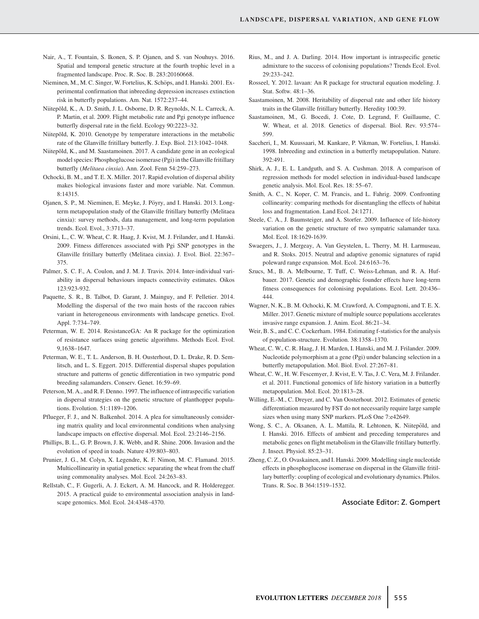- Nair, A., T. Fountain, S. Ikonen, S. P. Ojanen, and S. van Nouhuys. 2016. Spatial and temporal genetic structure at the fourth trophic level in a fragmented landscape. Proc. R. Soc. B. 283:20160668.
- Nieminen, M., M. C. Singer, W. Fortelius, K. Schöps, and I. Hanski. 2001. Experimental confirmation that inbreeding depression increases extinction risk in butterfly populations. Am. Nat. 1572:237–44.
- Niitepõld, K., A. D. Smith, J. L. Osborne, D. R. Reynolds, N. L. Carreck, A. P. Martin, et al. 2009. Flight metabolic rate and Pgi genotype influence butterfly dispersal rate in the field. Ecology 90:2223–32.
- Niitepõld, K. 2010. Genotype by temperature interactions in the metabolic rate of the Glanville fritillary butterfly. J. Exp. Biol. 213:1042–1048.
- Niitepõld, K., and M. Saastamoinen. 2017. A candidate gene in an ecological model species: Phosphoglucose isomerase (Pgi) in the Glanville fritillary butterfly (*Melitaea cinxia*). Ann. Zool. Fenn 54:259–273.
- Ochocki, B. M., and T. E. X. Miller. 2017. Rapid evolution of dispersal ability makes biological invasions faster and more variable. Nat. Commun. 8:14315.
- Ojanen, S. P., M. Nieminen, E. Meyke, J. Pöyry, and I. Hanski. 2013. Longterm metapopulation study of the Glanville fritillary butterfly (Melitaea cinxia): survey methods, data management, and long-term population trends. Ecol. Evol., 3:3713–37.
- Orsini, L., C. W. Wheat, C. R. Haag, J. Kvist, M. J. Frilander, and I. Hanski. 2009. Fitness differences associated with Pgi SNP genotypes in the Glanville fritillary butterfly (Melitaea cinxia). J. Evol. Biol. 22:367– 375.
- Palmer, S. C. F., A. Coulon, and J. M. J. Travis. 2014. Inter-individual variability in dispersal behaviours impacts connectivity estimates. Oikos 123:923-932.
- Paquette, S. R., B. Talbot, D. Garant, J. Mainguy, and F. Pelletier. 2014. Modelling the dispersal of the two main hosts of the raccoon rabies variant in heterogeneous environments with landscape genetics. Evol. Appl. 7:734–749.
- Peterman, W. E. 2014. ResistanceGA: An R package for the optimization of resistance surfaces using genetic algorithms. Methods Ecol. Evol. 9,1638–1647.
- Peterman, W. E., T. L. Anderson, B. H. Ousterhout, D. L. Drake, R. D. Semlitsch, and L. S. Eggert. 2015. Differential dispersal shapes population structure and patterns of genetic differentiation in two sympatric pond breeding salamanders. Conserv. Genet. 16:59–69.
- Peterson, M. A., and R. F. Denno. 1997. The influence of intraspecific variation in dispersal strategies on the genetic structure of planthopper populations. Evolution. 51:1189–1206.
- Pflueger, F. J., and N. Balkenhol. 2014. A plea for simultaneously considering matrix quality and local environmental conditions when analysing landscape impacts on effective dispersal. Mol. Ecol. 23:2146–2156.
- Phillips, B. L., G. P. Brown, J. K. Webb, and R. Shine. 2006. Invasion and the evolution of speed in toads. Nature 439:803–803.
- Prunier, J. G., M. Colyn, X. Legendre, K. F. Nimon, M. C. Flamand. 2015. Multicollinearity in spatial genetics: separating the wheat from the chaff using commonality analyses. Mol. Ecol. 24:263–83.
- Rellstab, C., F. Gugerli, A. J. Eckert, A. M. Hancock, and R. Holderegger. 2015. A practical guide to environmental association analysis in landscape genomics. Mol. Ecol. 24:4348–4370.
- Rius, M., and J. A. Darling. 2014. How important is intraspecific genetic admixture to the success of colonising populations? Trends Ecol. Evol. 29:233–242.
- Rosseel, Y. 2012. lavaan: An R package for structural equation modeling. J. Stat. Softw. 48:1–36.
- Saastamoinen, M. 2008. Heritability of dispersal rate and other life history traits in the Glanville fritillary butterfly. Heredity 100:39.
- Saastamoinen, M., G. Bocedi, J. Cote, D. Legrand, F. Guillaume, C. W. Wheat, et al. 2018. Genetics of dispersal. Biol. Rev. 93:574– 599.
- Saccheri, I., M. Kuussaari, M. Kankare, P. Vikman, W. Fortelius, I. Hanski. 1998. Inbreeding and extinction in a butterfly metapopulation. Nature. 392:491.
- Shirk, A. J., E. L. Landguth, and S. A. Cushman. 2018. A comparison of regression methods for model selection in individual-based landscape genetic analysis. Mol. Ecol. Res. 18: 55–67.
- Smith, A. C., N. Koper, C. M. Francis, and L. Fahrig. 2009. Confronting collinearity: comparing methods for disentangling the effects of habitat loss and fragmentation. Land Ecol. 24:1271.
- Steele, C. A., J. Baumsteiger, and A. Storfer. 2009. Influence of life-history variation on the genetic structure of two sympatric salamander taxa. Mol. Ecol. 18:1629-1639.
- Swaegers, J., J. Mergeay, A. Van Geystelen, L. Therry, M. H. Larmuseau, and R. Stoks. 2015. Neutral and adaptive genomic signatures of rapid poleward range expansion. Mol. Ecol. 24:6163–76.
- Szucs, M., B. A. Melbourne, T. Tuff, C. Weiss-Lehman, and R. A. Hufbauer. 2017. Genetic and demographic founder effects have long-term fitness consequences for colonising populations. Ecol. Lett. 20:436– 444.
- Wagner, N. K., B. M. Ochocki, K. M. Crawford, A. Compagnoni, and T. E. X. Miller. 2017. Genetic mixture of multiple source populations accelerates invasive range expansion. J. Anim. Ecol. 86:21–34.
- Weir, B. S., and C. C. Cockerham. 1984. Estimating f-statistics for the analysis of population-structure. Evolution. 38:1358–1370.
- Wheat, C. W., C. R. Haag, J. H. Marden, I. Hanski, and M. J. Frilander. 2009. Nucleotide polymorphism at a gene (Pgi) under balancing selection in a butterfly metapopulation. Mol. Biol. Evol. 27:267–81.
- Wheat, C. W., H. W. Fescemyer, J. Kvist, E. V. Tas, J. C. Vera, M. J. Frilander. et al. 2011. Functional genomics of life history variation in a butterfly metapopulation. Mol. Ecol. 20:1813–28.
- Willing, E.-M., C. Dreyer, and C. Van Oosterhout. 2012. Estimates of genetic differentiation measured by FST do not necessarily require large sample sizes when using many SNP markers. PLoS One 7:e42649.
- Wong, S. C., A. Oksanen, A. L. Mattila, R. Lehtonen, K. Niitepõld, and I. Hanski. 2016. Effects of ambient and preceding temperatures and metabolic genes on flight metabolism in the Glanville fritillary butterfly. J. Insect. Physiol. 85:23–31.
- Zheng, C. Z., O. Ovaskainen, and I. Hanski. 2009. Modelling single nucleotide effects in phosphoglucose isomerase on dispersal in the Glanville fritillary butterfly: coupling of ecological and evolutionary dynamics. Philos. Trans. R. Soc. B 364:1519–1532.

#### Associate Editor: Z. Gompert